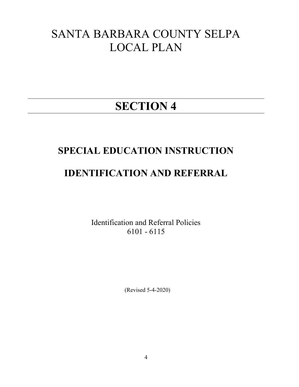# SANTA BARBARA COUNTY SELPA LOCAL PLAN

# SECTION 4

# SPECIAL EDUCATION INSTRUCTION

# IDENTIFICATION AND REFERRAL

Identification and Referral Policies 6101 - 6115

(Revised 5-4-2020)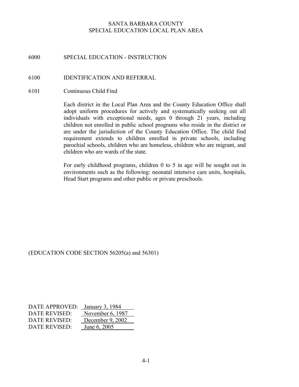# 6000 SPECIAL EDUCATION - INSTRUCTION

#### 6100 IDENTIFICATION AND REFERRAL

6101 Continuous Child Find

Each district in the Local Plan Area and the County Education Office shall adopt uniform procedures for actively and systematically seeking out all individuals with exceptional needs, ages 0 through 21 years, including children not enrolled in public school programs who reside in the district or are under the jurisdiction of the County Education Office. The child find requirement extends to children enrolled in private schools, including parochial schools, children who are homeless, children who are migrant, and children who are wards of the state.

For early childhood programs, children 0 to 5 in age will be sought out in environments such as the following: neonatal intensive care units, hospitals, Head Start programs and other public or private preschools.

#### (EDUCATION CODE SECTION 56205(a) and 56301)

| DATE APPROVED: | January 3, 1984  |
|----------------|------------------|
| DATE REVISED:  | November 6, 1987 |
| DATE REVISED:  | December 9, 2002 |
| DATE REVISED:  | June 6, 2005     |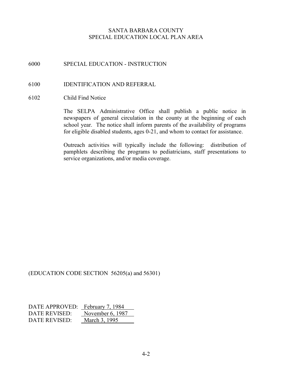6000 SPECIAL EDUCATION - INSTRUCTION

#### 6100 IDENTIFICATION AND REFERRAL

6102 Child Find Notice

The SELPA Administrative Office shall publish a public notice in newspapers of general circulation in the county at the beginning of each school year. The notice shall inform parents of the availability of programs for eligible disabled students, ages 0-21, and whom to contact for assistance.

Outreach activities will typically include the following: distribution of pamphlets describing the programs to pediatricians, staff presentations to service organizations, and/or media coverage.

#### (EDUCATION CODE SECTION 56205(a) and 56301)

| DATE APPROVED: February 7, 1984 |                  |
|---------------------------------|------------------|
| DATE REVISED:                   | November 6, 1987 |
| DATE REVISED:                   | March 3, 1995    |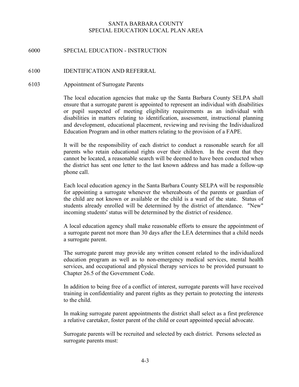#### 6000 SPECIAL EDUCATION - INSTRUCTION

#### 6100 IDENTIFICATION AND REFERRAL

#### 6103 Appointment of Surrogate Parents

The local education agencies that make up the Santa Barbara County SELPA shall ensure that a surrogate parent is appointed to represent an individual with disabilities or pupil suspected of meeting eligibility requirements as an individual with disabilities in matters relating to identification, assessment, instructional planning and development, educational placement, reviewing and revising the Individualized Education Program and in other matters relating to the provision of a FAPE.

It will be the responsibility of each district to conduct a reasonable search for all parents who retain educational rights over their children. In the event that they cannot be located, a reasonable search will be deemed to have been conducted when the district has sent one letter to the last known address and has made a follow-up phone call.

Each local education agency in the Santa Barbara County SELPA will be responsible for appointing a surrogate whenever the whereabouts of the parents or guardian of the child are not known or available or the child is a ward of the state. Status of students already enrolled will be determined by the district of attendance. "New" incoming students' status will be determined by the district of residence.

 A local education agency shall make reasonable efforts to ensure the appointment of a surrogate parent not more than 30 days after the LEA determines that a child needs a surrogate parent.

The surrogate parent may provide any written consent related to the individualized education program as well as to non-emergency medical services, mental health services, and occupational and physical therapy services to be provided pursuant to Chapter 26.5 of the Government Code.

In addition to being free of a conflict of interest, surrogate parents will have received training in confidentiality and parent rights as they pertain to protecting the interests to the child.

In making surrogate parent appointments the district shall select as a first preference a relative caretaker, foster parent of the child or court appointed special advocate.

Surrogate parents will be recruited and selected by each district. Persons selected as surrogate parents must: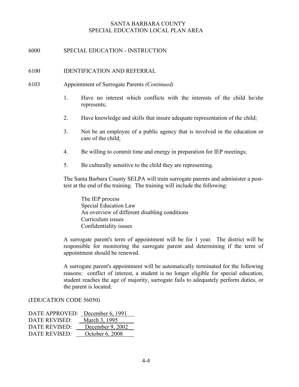#### 6000 SPECIAL EDUCATION - INSTRUCTION

#### 6100 IDENTIFICATION AND REFERRAL

#### 6103 Appointment of Surrogate Parents (Continued)

- 1. Have no interest which conflicts with the interests of the child he/she represents;
- 2. Have knowledge and skills that insure adequate representation of the child;
- 3. Not be an employee of a public agency that is involved in the education or care of the child;
- 4. Be willing to commit time and energy in preparation for IEP meetings;
- 5. Be culturally sensitive to the child they are representing.

The Santa Barbara County SELPA will train surrogate parents and administer a posttest at the end of the training. The training will include the following:

The IEP process Special Education Law An overview of different disabling conditions Curriculum issues Confidentiality issues

A surrogate parent's term of appointment will be for 1 year. The district will be responsible for monitoring the surrogate parent and determining if the term of appointment should be renewed.

A surrogate parent's appointment will be automatically terminated for the following reasons: conflict of interest, a student is no longer eligible for special education, student reaches the age of majority, surrogate fails to adequately perform duties, or the parent is located.

#### (EDUCATION CODE 56050)

| DATE APPROVED: | December 6, 1991 |
|----------------|------------------|
| DATE REVISED:  | March 3, 1995    |
| DATE REVISED:  | December 9, 2002 |
| DATE REVISED:  | October 6, 2008  |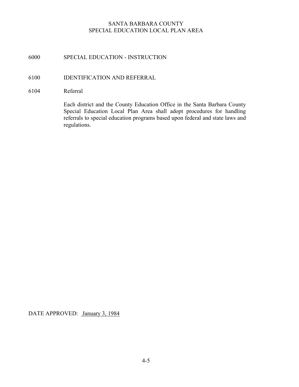# 6000 SPECIAL EDUCATION - INSTRUCTION

## 6100 IDENTIFICATION AND REFERRAL

#### 6104 Referral

Each district and the County Education Office in the Santa Barbara County Special Education Local Plan Area shall adopt procedures for handling referrals to special education programs based upon federal and state laws and regulations.

DATE APPROVED: January 3, 1984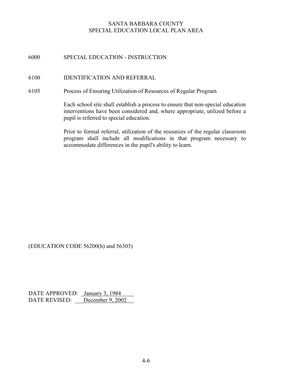# 6000 SPECIAL EDUCATION - INSTRUCTION

#### 6100 IDENTIFICATION AND REFERRAL

6105 Process of Ensuring Utilization of Resources of Regular Program

Each school site shall establish a process to ensure that non-special education interventions have been considered and, where appropriate, utilized before a pupil is referred to special education.

Prior to formal referral, utilization of the resources of the regular classroom program shall include all modifications in that program necessary to accommodate differences in the pupil's ability to learn.

(EDUCATION CODE 56200(h) and 56303)

DATE APPROVED: January 3, 1984 DATE REVISED: December 9, 2002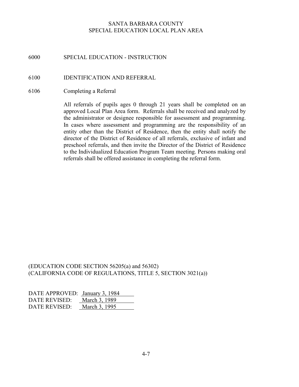#### 6000 SPECIAL EDUCATION - INSTRUCTION

#### 6100 IDENTIFICATION AND REFERRAL

6106 Completing a Referral

All referrals of pupils ages 0 through 21 years shall be completed on an approved Local Plan Area form. Referrals shall be received and analyzed by the administrator or designee responsible for assessment and programming. In cases where assessment and programming are the responsibility of an entity other than the District of Residence, then the entity shall notify the director of the District of Residence of all referrals, exclusive of infant and preschool referrals, and then invite the Director of the District of Residence to the Individualized Education Program Team meeting. Persons making oral referrals shall be offered assistance in completing the referral form.

(EDUCATION CODE SECTION 56205(a) and 56302) (CALIFORNIA CODE OF REGULATIONS, TITLE 5, SECTION 3021(a))

| DATE APPROVED: January 3, 1984 |               |
|--------------------------------|---------------|
| DATE REVISED:                  | March 3, 1989 |
| DATE REVISED:                  | March 3, 1995 |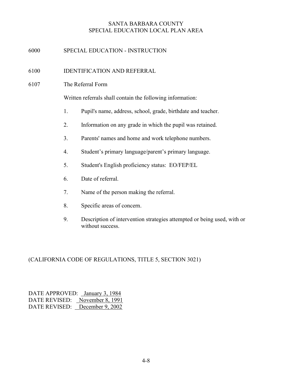# 6000 SPECIAL EDUCATION - INSTRUCTION

# 6100 IDENTIFICATION AND REFERRAL

6107 The Referral Form

Written referrals shall contain the following information:

- 1. Pupil's name, address, school, grade, birthdate and teacher.
- 2. Information on any grade in which the pupil was retained.
- 3. Parents' names and home and work telephone numbers.
- 4. Student's primary language/parent's primary language.
- 5. Student's English proficiency status: EO/FEP/EL
- 6. Date of referral.
- 7. Name of the person making the referral.
- 8. Specific areas of concern.
- 9. Description of intervention strategies attempted or being used, with or without success.

#### (CALIFORNIA CODE OF REGULATIONS, TITLE 5, SECTION 3021)

| DATE APPROVED: January 3, 1984 |  |
|--------------------------------|--|
| DATE REVISED: November 8, 1991 |  |
| DATE REVISED: December 9, 2002 |  |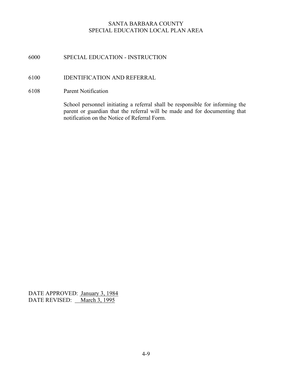# 6000 SPECIAL EDUCATION - INSTRUCTION

#### 6100 IDENTIFICATION AND REFERRAL

6108 Parent Notification

School personnel initiating a referral shall be responsible for informing the parent or guardian that the referral will be made and for documenting that notification on the Notice of Referral Form.

DATE APPROVED: January 3, 1984 DATE REVISED: March 3, 1995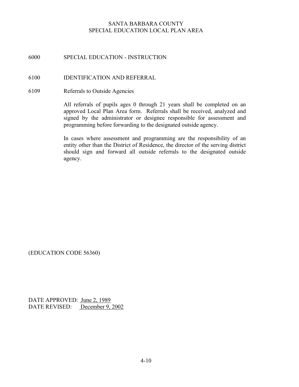# 6000 SPECIAL EDUCATION - INSTRUCTION

#### 6100 IDENTIFICATION AND REFERRAL

6109 Referrals to Outside Agencies

All referrals of pupils ages 0 through 21 years shall be completed on an approved Local Plan Area form. Referrals shall be received, analyzed and signed by the administrator or designee responsible for assessment and programming before forwarding to the designated outside agency.

In cases where assessment and programming are the responsibility of an entity other than the District of Residence, the director of the serving district should sign and forward all outside referrals to the designated outside agency.

(EDUCATION CODE 56360)

DATE APPROVED: June 2, 1989 DATE REVISED: December 9, 2002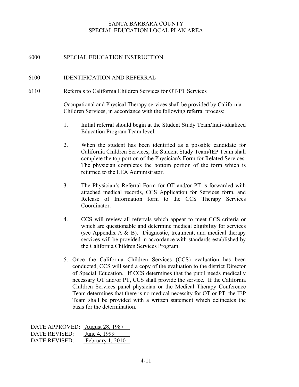# 6000 SPECIAL EDUCATION INSTRUCTION

#### 6100 IDENTIFICATION AND REFERRAL

6110 Referrals to California Children Services for OT/PT Services

Occupational and Physical Therapy services shall be provided by California Children Services, in accordance with the following referral process:

- 1. Initial referral should begin at the Student Study Team/Individualized Education Program Team level.
- 2. When the student has been identified as a possible candidate for California Children Services, the Student Study Team/IEP Team shall complete the top portion of the Physician's Form for Related Services. The physician completes the bottom portion of the form which is returned to the LEA Administrator.
- 3. The Physician's Referral Form for OT and/or PT is forwarded with attached medical records, CCS Application for Services form, and Release of Information form to the CCS Therapy Services Coordinator.
- 4. CCS will review all referrals which appear to meet CCS criteria or which are questionable and determine medical eligibility for services (see Appendix A & B). Diagnostic, treatment, and medical therapy services will be provided in accordance with standards established by the California Children Services Program.
- 5. Once the California Children Services (CCS) evaluation has been conducted, CCS will send a copy of the evaluation to the district Director of Special Education. If CCS determines that the pupil needs medically necessary OT and/or PT, CCS shall provide the service. If the California Children Services panel physician or the Medical Therapy Conference Team determines that there is no medical necessity for OT or PT, the IEP Team shall be provided with a written statement which delineates the basis for the determination.

| DATE APPROVED: August 28, 1987 |                  |
|--------------------------------|------------------|
| DATE REVISED:                  | June 4, 1999     |
| DATE REVISED:                  | February 1, 2010 |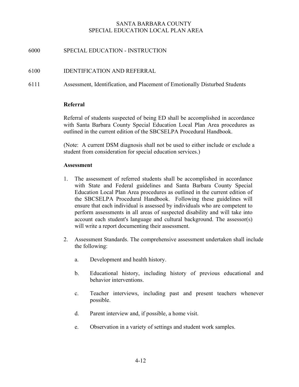# 6000 SPECIAL EDUCATION - INSTRUCTION

#### 6100 IDENTIFICATION AND REFERRAL

6111 Assessment, Identification, and Placement of Emotionally Disturbed Students

#### Referral

Referral of students suspected of being ED shall be accomplished in accordance with Santa Barbara County Special Education Local Plan Area procedures as outlined in the current edition of the SBCSELPA Procedural Handbook.

(Note: A current DSM diagnosis shall not be used to either include or exclude a student from consideration for special education services.)

#### **Assessment**

- 1. The assessment of referred students shall be accomplished in accordance with State and Federal guidelines and Santa Barbara County Special Education Local Plan Area procedures as outlined in the current edition of the SBCSELPA Procedural Handbook. Following these guidelines will ensure that each individual is assessed by individuals who are competent to perform assessments in all areas of suspected disability and will take into account each student's language and cultural background. The assessor(s) will write a report documenting their assessment.
- 2. Assessment Standards. The comprehensive assessment undertaken shall include the following:
	- a. Development and health history.
	- b. Educational history, including history of previous educational and behavior interventions.
	- c. Teacher interviews, including past and present teachers whenever possible.
	- d. Parent interview and, if possible, a home visit.
	- e. Observation in a variety of settings and student work samples.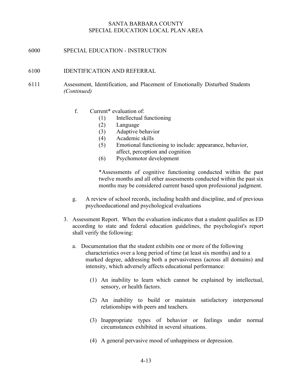#### 6000 SPECIAL EDUCATION - INSTRUCTION

#### 6100 IDENTIFICATION AND REFERRAL

- 6111 Assessment, Identification, and Placement of Emotionally Disturbed Students (Continued)
	- f. Current\* evaluation of:
		- (1) Intellectual functioning
		- (2) Language
		- (3) Adaptive behavior
		- (4) Academic skills
		- (5) Emotional functioning to include: appearance, behavior, affect, perception and cognition
		- (6) Psychomotor development

\*Assessments of cognitive functioning conducted within the past twelve months and all other assessments conducted within the past six months may be considered current based upon professional judgment.

- g. A review of school records, including health and discipline, and of previous psychoeducational and psychological evaluations
- 3. Assessment Report. When the evaluation indicates that a student qualifies as ED according to state and federal education guidelines, the psychologist's report shall verify the following:
	- a. Documentation that the student exhibits one or more of the following characteristics over a long period of time (at least six months) and to a marked degree, addressing both a pervasiveness (across all domains) and intensity, which adversely affects educational performance:
		- (1) An inability to learn which cannot be explained by intellectual, sensory, or health factors.
		- (2) An inability to build or maintain satisfactory interpersonal relationships with peers and teachers.
		- (3) Inappropriate types of behavior or feelings under normal circumstances exhibited in several situations.
		- (4) A general pervasive mood of unhappiness or depression.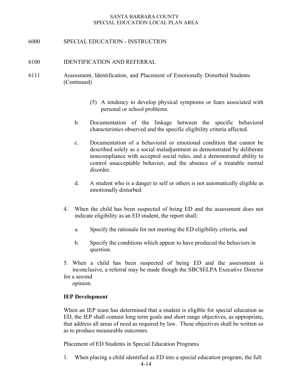6000 SPECIAL EDUCATION - INSTRUCTION

#### 6100 IDENTIFICATION AND REFERRAL

- 6111 Assessment, Identification, and Placement of Emotionally Disturbed Students (Continued)
	- (5) A tendency to develop physical symptoms or fears associated with personal or school problems.
	- b. Documentation of the linkage between the specific behavioral characteristics observed and the specific eligibility criteria affected.
	- c. Documentation of a behavioral or emotional condition that cannot be described solely as a social maladjustment as demonstrated by deliberate noncompliance with accepted social rules, and a demonstrated ability to control unacceptable behavior, and the absence of a treatable mental disorder.
	- d. A student who is a danger to self or others is not automatically eligible as emotionally disturbed.
	- 4. When the child has been suspected of being ED and the assessment does not indicate eligibility as an ED student, the report shall:
		- a. Specify the rationale for not meeting the ED eligibility criteria, and
		- b. Specify the conditions which appear to have produced the behaviors in question.
	- 5. When a child has been suspected of being ED and the assessment is inconclusive, a referral may be made though the SBCSELPA Executive Director for a second

opinion.

#### IEP Development

When an IEP team has determined that a student is eligible for special education as ED, the IEP shall contain long term goals and short range objectives, as appropriate, that address all areas of need as required by law. These objectives shall be written so as to produce measurable outcomes.

Placement of ED Students in Special Education Programs

1. When placing a child identified as ED into a special education program, the full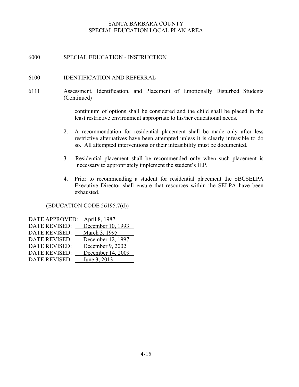# 6000 SPECIAL EDUCATION - INSTRUCTION

#### 6100 IDENTIFICATION AND REFERRAL

6111 Assessment, Identification, and Placement of Emotionally Disturbed Students (Continued)

> continuum of options shall be considered and the child shall be placed in the least restrictive environment appropriate to his/her educational needs.

- 2. A recommendation for residential placement shall be made only after less restrictive alternatives have been attempted unless it is clearly infeasible to do so. All attempted interventions or their infeasibility must be documented.
- 3. Residential placement shall be recommended only when such placement is necessary to appropriately implement the student's IEP.
- 4. Prior to recommending a student for residential placement the SBCSELPA Executive Director shall ensure that resources within the SELPA have been exhausted.

(EDUCATION CODE 56195.7(d))

| <b>DATE APPROVED:</b> | April 8, 1987     |
|-----------------------|-------------------|
| <b>DATE REVISED:</b>  | December 10, 1993 |
| <b>DATE REVISED:</b>  | March 3, 1995     |
| <b>DATE REVISED:</b>  | December 12, 1997 |
| <b>DATE REVISED:</b>  | December 9, 2002  |
| <b>DATE REVISED:</b>  | December 14, 2009 |
| <b>DATE REVISED:</b>  | June 3, 2013      |
|                       |                   |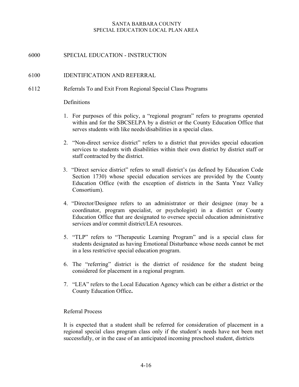# 6000 SPECIAL EDUCATION - INSTRUCTION

#### 6100 IDENTIFICATION AND REFERRAL

#### 6112 Referrals To and Exit From Regional Special Class Programs

#### **Definitions**

- 1. For purposes of this policy, a "regional program" refers to programs operated within and for the SBCSELPA by a district or the County Education Office that serves students with like needs/disabilities in a special class.
- 2. "Non-direct service district" refers to a district that provides special education services to students with disabilities within their own district by district staff or staff contracted by the district.
- 3. "Direct service district" refers to small district's (as defined by Education Code Section 1730) whose special education services are provided by the County Education Office (with the exception of districts in the Santa Ynez Valley Consortium).
- 4. "Director/Designee refers to an administrator or their designee (may be a coordinator, program specialist, or psychologist) in a district or County Education Office that are designated to oversee special education administrative services and/or commit district/LEA resources.
- 5. "TLP" refers to "Therapeutic Learning Program" and is a special class for students designated as having Emotional Disturbance whose needs cannot be met in a less restrictive special education program.
- 6. The "referring" district is the district of residence for the student being considered for placement in a regional program.
- 7. "LEA" refers to the Local Education Agency which can be either a district or the County Education Office.

#### Referral Process

 It is expected that a student shall be referred for consideration of placement in a regional special class program class only if the student's needs have not been met successfully, or in the case of an anticipated incoming preschool student, districts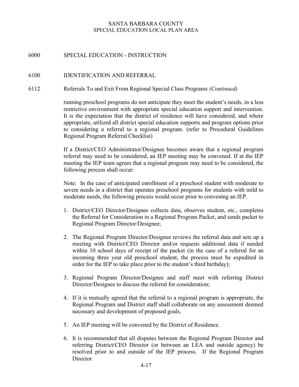# 6000 SPECIAL EDUCATION - INSTRUCTION

#### 6100 IDENTIFICATION AND REFERRAL

6112 Referrals To and Exit From Regional Special Class Programs (Continued)

 running preschool programs do not anticipate they meet the student's needs, in a less restrictive environment with appropriate special education support and intervention. It is the expectation that the district of residence will have considered, and where appropriate, utilized all district special education supports and program options prior to considering a referral to a regional program. (refer to Procedural Guidelines Regional Program Referral Checklist)

 If a District/CEO Administrator/Designee becomes aware that a regional program referral may need to be considered, an IEP meeting may be convened. If at the IEP meeting the IEP team agrees that a regional program may need to be considered, the following process shall occur:

 Note: In the case of anticipated enrollment of a preschool student with moderate to severe needs in a district that operates preschool programs for students with mild to moderate needs, the following process would occur prior to convening an IEP.

- 1. District/CEO Director/Designee collects data, observes student, etc., completes the Referral for Consideration in a Regional Program Packet, and sends packet to Regional Program Director/Designee;
- 2. The Regional Program Director/Designee reviews the referral data and sets up a meeting with District/CEO Director and/or requests additional data if needed within 10 school days of receipt of the packet (in the case of a referral for an incoming three year old preschool student, the process must be expedited in order for the IEP to take place prior to the student's third birthday);
- 3. Regional Program Director/Designee and staff meet with referring District Director/Designee to discuss the referral for consideration;
- 4. If it is mutually agreed that the referral to a regional program is appropriate, the Regional Program and District staff shall collaborate on any assessment deemed necessary and development of proposed goals.
- 5. An IEP meeting will be convened by the District of Residence.
- 6. It is recommended that all disputes between the Regional Program Director and referring District/CEO Director (or between an LEA and outside agency) be resolved prior to and outside of the IEP process. If the Regional Program **Director**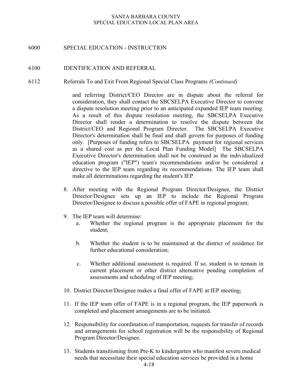### 6000 SPECIAL EDUCATION - INSTRUCTION

#### 6100 IDENTIFICATION AND REFERRAL

6112 Referrals To and Exit From Regional Special Class Programs (Continued)

and referring District/CEO Director are in dispute about the referral for consideration, they shall contact the SBCSELPA Executive Director to convene a dispute resolution meeting prior to an anticipated expanded IEP team meeting. As a result of this dispute resolution meeting, the SBCSELPA Executive Director shall render a determination to resolve the dispute between the District/CEO and Regional Program Director. The SBCSELPA Executive Director's determination shall be final and shall govern for purposes of funding only. [Purposes of funding refers to SBCSELPA payment for regional services as a shared cost as per the Local Plan Funding Model] The SBCSELPA Executive Director's determination shall not be construed as the individualized education program ("IEP") team's recommendations and/or be considered a directive to the IEP team regarding its recommendations. The IEP team shall make all determinations regarding the student's IEP.

- 8. After meeting with the Regional Program Director/Designee, the District Director/Designee sets up an IEP to include the Regional Program Director/Designee to discuss a possible offer of FAPE in regional program;
- 9. The IEP team will determine:
	- a. Whether the regional program is the appropriate placement for the student;
	- b. Whether the student is to be maintained at the district of residence for further educational consideration;
	- c. Whether additional assessment is required. If so, student is to remain in current placement or other district alternative pending completion of assessments and scheduling of IEP meeting;
- 10. District Director/Designee makes a final offer of FAPE at IEP meeting;
- 11. If the IEP team offer of FAPE is in a regional program, the IEP paperwork is completed and placement arrangements are to be initiated.
- 12. Responsibility for coordination of transportation, requests for transfer of records and arrangements for school registration will be the responsibility of Regional Program Director/Designee.
- 13. Students transitioning from Pre-K to kindergarten who manifest severe medical needs that necessitate their special education services be provided in a home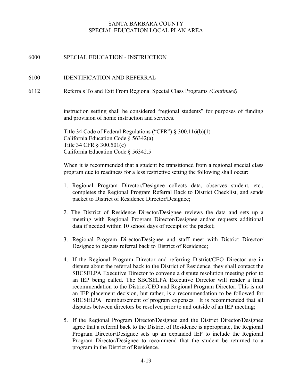# 6000 SPECIAL EDUCATION - INSTRUCTION

#### 6100 IDENTIFICATION AND REFERRAL

6112 Referrals To and Exit From Regional Special Class Programs (Continued)

instruction setting shall be considered "regional students" for purposes of funding and provision of home instruction and services.

Title 34 Code of Federal Regulations ("CFR") § 300.116(b)(1) California Education Code § 56342(a) Title 34 CFR § 300.501(c) California Education Code § 56342.5

When it is recommended that a student be transitioned from a regional special class program due to readiness for a less restrictive setting the following shall occur:

- 1. Regional Program Director/Designee collects data, observes student, etc., completes the Regional Program Referral Back to District Checklist, and sends packet to District of Residence Director/Designee;
- 2. The District of Residence Director/Designee reviews the data and sets up a meeting with Regional Program Director/Designee and/or requests additional data if needed within 10 school days of receipt of the packet;
- 3. Regional Program Director/Designee and staff meet with District Director/ Designee to discuss referral back to District of Residence;
- 4. If the Regional Program Director and referring District/CEO Director are in dispute about the referral back to the District of Residence, they shall contact the SBCSELPA Executive Director to convene a dispute resolution meeting prior to an IEP being called. The SBCSELPA Executive Director will render a final recommendation to the District/CEO and Regional Program Director. This is not an IEP placement decision, but rather, is a recommendation to be followed for SBCSELPA reimbursement of program expenses. It is recommended that all disputes between directors be resolved prior to and outside of an IEP meeting;
- 5. If the Regional Program Director/Designee and the District Director/Designee agree that a referral back to the District of Residence is appropriate, the Regional Program Director/Designee sets up an expanded IEP to include the Regional Program Director/Designee to recommend that the student be returned to a program in the District of Residence.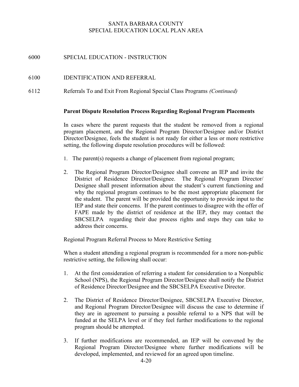# 6000 SPECIAL EDUCATION - INSTRUCTION

#### 6100 IDENTIFICATION AND REFERRAL

6112 Referrals To and Exit From Regional Special Class Programs (Continued)

#### Parent Dispute Resolution Process Regarding Regional Program Placements

In cases where the parent requests that the student be removed from a regional program placement, and the Regional Program Director/Designee and/or District Director/Designee, feels the student is not ready for either a less or more restrictive setting, the following dispute resolution procedures will be followed:

- 1. The parent(s) requests a change of placement from regional program;
- 2. The Regional Program Director/Designee shall convene an IEP and invite the District of Residence Director/Designee. The Regional Program Director/ Designee shall present information about the student's current functioning and why the regional program continues to be the most appropriate placement for the student. The parent will be provided the opportunity to provide input to the IEP and state their concerns. If the parent continues to disagree with the offer of FAPE made by the district of residence at the IEP, they may contact the SBCSELPA regarding their due process rights and steps they can take to address their concerns.

Regional Program Referral Process to More Restrictive Setting

When a student attending a regional program is recommended for a more non-public restrictive setting, the following shall occur:

- 1. At the first consideration of referring a student for consideration to a Nonpublic School (NPS), the Regional Program Director/Designee shall notify the District of Residence Director/Designee and the SBCSELPA Executive Director.
- 2. The District of Residence Director/Designee, SBCSELPA Executive Director, and Regional Program Director/Designee will discuss the case to determine if they are in agreement to pursuing a possible referral to a NPS that will be funded at the SELPA level or if they feel further modifications to the regional program should be attempted.
- 3. If further modifications are recommended, an IEP will be convened by the Regional Program Director/Designee where further modifications will be developed, implemented, and reviewed for an agreed upon timeline.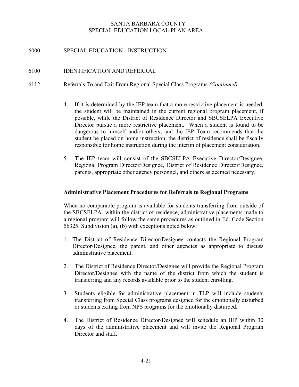# 6000 SPECIAL EDUCATION - INSTRUCTION

#### 6100 IDENTIFICATION AND REFERRAL

- 6112 Referrals To and Exit From Regional Special Class Programs (Continued)
	- 4. If it is determined by the IEP team that a more restrictive placement is needed, the student will be maintained in the current regional program placement, if possible, while the District of Residence Director and SBCSELPA Executive Director pursue a more restrictive placement. When a student is found to be dangerous to himself and/or others, and the IEP Team recommends that the student be placed on home instruction, the district of residence shall be fiscally responsible for home instruction during the interim of placement consideration.
	- 5. The IEP team will consist of the SBCSELPA Executive Director/Designee, Regional Program Director/Designee, District of Residence Director/Designee, parents, appropriate other agency personnel, and others as deemed necessary.

#### Administrative Placement Procedures for Referrals to Regional Programs

When no comparable program is available for students transferring from outside of the SBCSELPA within the district of residence, administrative placements made to a regional program will follow the same procedures as outlined in Ed. Code Section 56325, Subdivision (a), (b) with exceptions noted below:

- 1. The District of Residence Director/Designee contacts the Regional Program Director/Designee, the parent, and other agencies as appropriate to discuss administrative placement.
- 2. The District of Residence Director/Designee will provide the Regional Program Director/Designee with the name of the district from which the student is transferring and any records available prior to the student enrolling.
- 3. Students eligible for administrative placement in TLP will include students transferring from Special Class programs designed for the emotionally disturbed or students exiting from NPS programs for the emotionally disturbed.
- 4. The District of Residence Director/Designee will schedule an IEP within 30 days of the administrative placement and will invite the Regional Program Director and staff.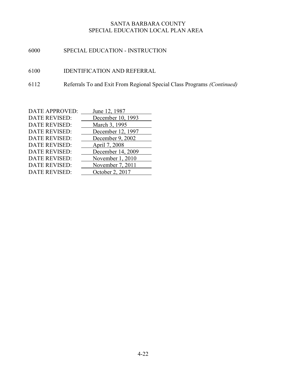- 6000 SPECIAL EDUCATION INSTRUCTION
- 6100 IDENTIFICATION AND REFERRAL
- 6112 Referrals To and Exit From Regional Special Class Programs (Continued)

| <b>DATE APPROVED:</b> | June 12, 1987     |
|-----------------------|-------------------|
| <b>DATE REVISED:</b>  | December 10, 1993 |
| <b>DATE REVISED:</b>  | March 3, 1995     |
| <b>DATE REVISED:</b>  | December 12, 1997 |
| <b>DATE REVISED:</b>  | December 9, 2002  |
| <b>DATE REVISED:</b>  | April 7, 2008     |
| <b>DATE REVISED:</b>  | December 14, 2009 |
| <b>DATE REVISED:</b>  | November 1, 2010  |
| <b>DATE REVISED:</b>  | November 7, 2011  |
| <b>DATE REVISED:</b>  | October 2, 2017   |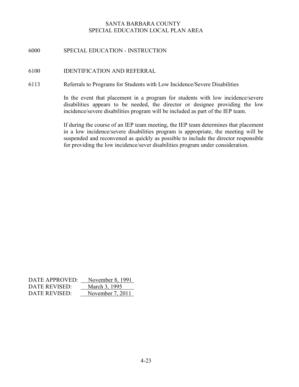# 6000 SPECIAL EDUCATION - INSTRUCTION

#### 6100 IDENTIFICATION AND REFERRAL

#### 6113 Referrals to Programs for Students with Low Incidence/Severe Disabilities

In the event that placement in a program for students with low incidence/severe disabilities appears to be needed, the director or designee providing the low incidence/severe disabilities program will be included as part of the IEP team.

If during the course of an IEP team meeting, the IEP team determines that placement in a low incidence/severe disabilities program is appropriate, the meeting will be suspended and reconvened as quickly as possible to include the director responsible for providing the low incidence/sever disabilities program under consideration.

| DATE APPROVED: | November 8, 1991 |
|----------------|------------------|
| DATE REVISED:  | March 3, 1995    |
| DATE REVISED:  | November 7, 2011 |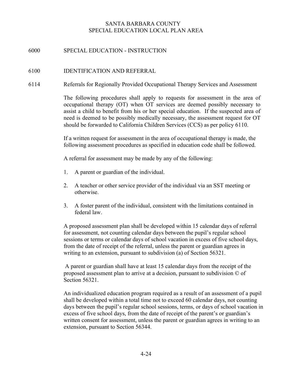# 6000 SPECIAL EDUCATION - INSTRUCTION

#### 6100 IDENTIFICATION AND REFERRAL

6114 Referrals for Regionally Provided Occupational Therapy Services and Assessment

The following procedures shall apply to requests for assessment in the area of occupational therapy (OT) when OT services are deemed possibly necessary to assist a child to benefit from his or her special education. If the suspected area of need is deemed to be possibly medically necessary, the assessment request for OT should be forwarded to California Children Services (CCS) as per policy 6110.

 If a written request for assessment in the area of occupational therapy is made, the following assessment procedures as specified in education code shall be followed.

A referral for assessment may be made by any of the following:

- 1. A parent or guardian of the individual.
- 2. A teacher or other service provider of the individual via an SST meeting or otherwise.
- 3. A foster parent of the individual, consistent with the limitations contained in federal law.

A proposed assessment plan shall be developed within 15 calendar days of referral for assessment, not counting calendar days between the pupil's regular school sessions or terms or calendar days of school vacation in excess of five school days, from the date of receipt of the referral, unless the parent or guardian agrees in writing to an extension, pursuant to subdivision (a) of Section 56321.

 A parent or guardian shall have at least 15 calendar days from the receipt of the proposed assessment plan to arrive at a decision, pursuant to subdivision © of Section 56321.

An individualized education program required as a result of an assessment of a pupil shall be developed within a total time not to exceed 60 calendar days, not counting days between the pupil's regular school sessions, terms, or days of school vacation in excess of five school days, from the date of receipt of the parent's or guardian's written consent for assessment, unless the parent or guardian agrees in writing to an extension, pursuant to Section 56344.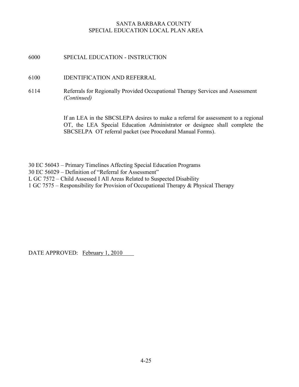# 6000 SPECIAL EDUCATION - INSTRUCTION

# 6100 IDENTIFICATION AND REFERRAL

6114 Referrals for Regionally Provided Occupational Therapy Services and Assessment (Continued)

> If an LEA in the SBCSLEPA desires to make a referral for assessment to a regional OT, the LEA Special Education Administrator or designee shall complete the SBCSELPA OT referral packet (see Procedural Manual Forms).

30 EC 56043 – Primary Timelines Affecting Special Education Programs

- 30 EC 56029 Definition of "Referral for Assessment"
- L GC 7572 Child Assessed I All Areas Related to Suspected Disability
- 1 GC 7575 Responsibility for Provision of Occupational Therapy & Physical Therapy

DATE APPROVED: February 1, 2010